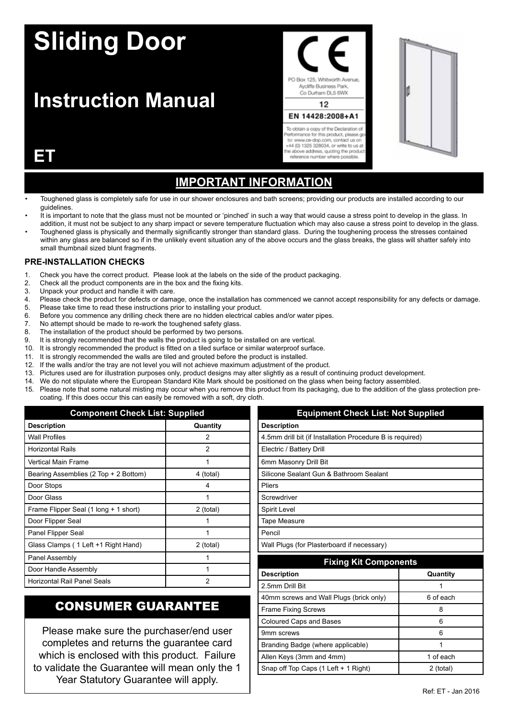## **Sliding Door**

### **Instruction Manual**



to: www.ce-dop.com. contact us or +44 (0) 1325 328034, or write to us at<br>the above address, quoting the product reference number where possible



### **ET**

### **Important Information**

- Toughened glass is completely safe for use in our shower enclosures and bath screens; providing our products are installed according to our guidelines.
- It is important to note that the glass must not be mounted or 'pinched' in such a way that would cause a stress point to develop in the glass. In addition, it must not be subject to any sharp impact or severe temperature fluctuation which may also cause a stress point to develop in the glass.
- Toughened glass is physically and thermally significantly stronger than standard glass. During the toughening process the stresses contained within any glass are balanced so if in the unlikely event situation any of the above occurs and the glass breaks, the glass will shatter safely into small thumbnail sized blunt fragments.

#### **PRE-INSTALLATION CHECKS**

- 1. Check you have the correct product. Please look at the labels on the side of the product packaging.<br>2. Check all the product components are in the box and the fixing kits.
- Check all the product components are in the box and the fixing kits.
- 3. Unpack your product and handle it with care.
- 4. Please check the product for defects or damage, once the installation has commenced we cannot accept responsibility for any defects or damage. 5. Please take time to read these instructions prior to installing your product.
- 6. Before you commence any drilling check there are no hidden electrical cables and/or water pipes.<br>7. No attempt should be made to re-work the toughened safety glass.
- 
- 7. No attempt should be made to re-work the toughened safety glass.<br>8. The installation of the product should be performed by two persons The installation of the product should be performed by two persons.
- 9. It is strongly recommended that the walls the product is going to be installed on are vertical.
- 10. It is strongly recommended the product is fitted on a tiled surface or similar waterproof surface.
- 11. It is strongly recommended the walls are tiled and grouted before the product is installed.
- 12. If the walls and/or the tray are not level you will not achieve maximum adjustment of the product.
- 13. Pictures used are for illustration purposes only, product designs may alter slightly as a result of continuing product development.
- 14. We do not stipulate where the European Standard Kite Mark should be positioned on the glass when being factory assembled.
- 15. Please note that some natural misting may occur when you remove this product from its packaging, due to the addition of the glass protection precoating. If this does occur this can easily be removed with a soft, dry cloth.

| <b>Component Check List: Supplied</b> |           |  |  |  |
|---------------------------------------|-----------|--|--|--|
| <b>Description</b>                    | Quantity  |  |  |  |
| <b>Wall Profiles</b>                  | 2         |  |  |  |
| <b>Horizontal Rails</b>               | 2         |  |  |  |
| Vertical Main Frame                   |           |  |  |  |
| Bearing Assemblies (2 Top + 2 Bottom) | 4 (total) |  |  |  |
| Door Stops                            | 4         |  |  |  |
| Door Glass                            | 1         |  |  |  |
| Frame Flipper Seal (1 long + 1 short) | 2 (total) |  |  |  |
| Door Flipper Seal                     |           |  |  |  |
| Panel Flipper Seal                    |           |  |  |  |
| Glass Clamps (1 Left +1 Right Hand)   | 2 (total) |  |  |  |
| Panel Assembly                        |           |  |  |  |
| Door Handle Assembly                  |           |  |  |  |
| <b>Horizontal Rail Panel Seals</b>    | 2         |  |  |  |

### CONSUMER GUARANTEE

Please make sure the purchaser/end user completes and returns the guarantee card which is enclosed with this product. Failure to validate the Guarantee will mean only the 1 Year Statutory Guarantee will apply.

| <b>Equipment Check List: Not Supplied</b>                 |  |  |
|-----------------------------------------------------------|--|--|
| <b>Description</b>                                        |  |  |
| 4.5mm drill bit (if Installation Procedure B is required) |  |  |
| Electric / Battery Drill                                  |  |  |
| 6mm Masonry Drill Bit                                     |  |  |
| Silicone Sealant Gun & Bathroom Sealant                   |  |  |
| Pliers                                                    |  |  |
| Screwdriver                                               |  |  |
| Spirit Level                                              |  |  |
| Tape Measure                                              |  |  |
| Pencil                                                    |  |  |
| Wall Plugs (for Plasterboard if necessary)                |  |  |

| <b>Fixing Kit Components</b>            |           |  |  |  |  |
|-----------------------------------------|-----------|--|--|--|--|
| <b>Description</b>                      | Quantity  |  |  |  |  |
| 2.5mm Drill Bit                         |           |  |  |  |  |
| 40mm screws and Wall Plugs (brick only) | 6 of each |  |  |  |  |
| <b>Frame Fixing Screws</b>              | 8         |  |  |  |  |
| Coloured Caps and Bases                 | 6         |  |  |  |  |
| 9mm screws                              | 6         |  |  |  |  |
| Branding Badge (where applicable)       |           |  |  |  |  |
| Allen Keys (3mm and 4mm)                | 1 of each |  |  |  |  |
| Snap off Top Caps (1 Left + 1 Right)    | 2 (total) |  |  |  |  |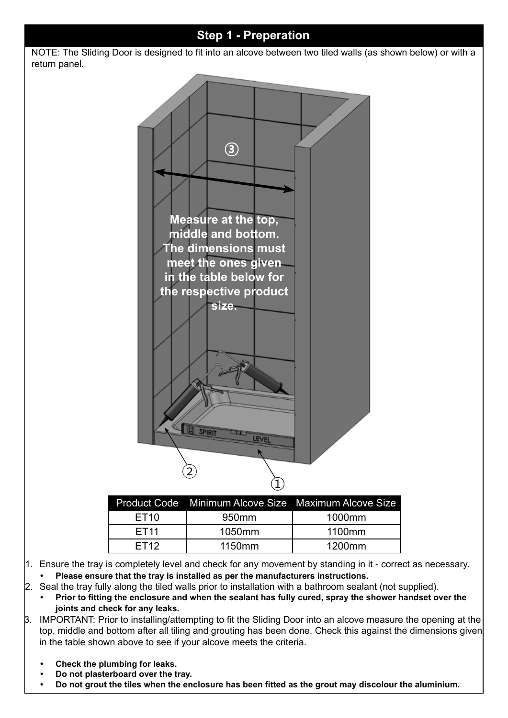### **Step 1 - Preperation**

NOTE: The Sliding Door is designed to fit into an alcove between two tiled walls (as shown below) or with a return panel.



1. Ensure the tray is completely level and check for any movement by standing in it - correct as necessary.

**• Please ensure that the tray is installed as per the manufacturers instructions.**

2. Seal the tray fully along the tiled walls prior to installation with a bathroom sealant (not supplied).

Prior to fitting the enclosure and when the sealant has fully cured, spray the shower handset over the **joints and check for any leaks.**

- 3. IMPORTANT: Prior to installing/attempting to fit the Sliding Door into an alcove measure the opening at the top, middle and bottom after all tiling and grouting has been done. Check this against the dimensions given in the table shown above to see if your alcove meets the criteria.
	- **Check the plumbing for leaks.**
	- **• Do not plasterboard over the tray.**

Do not grout the tiles when the enclosure has been fitted as the grout may discolour the aluminium.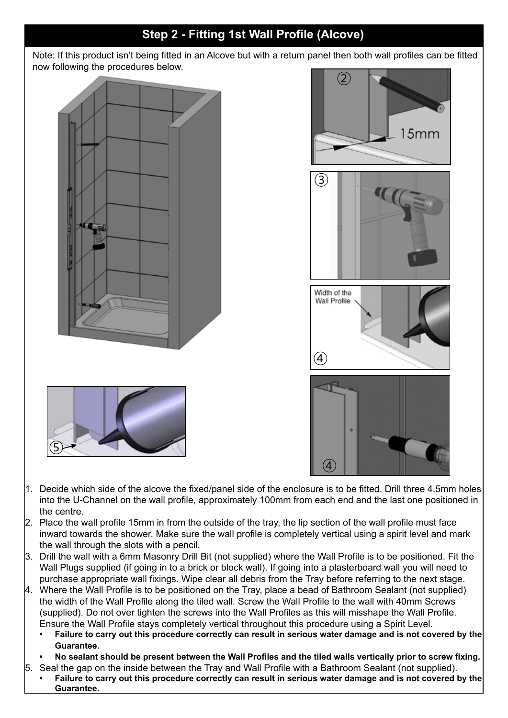### **Step 2 - Fitting 1st Wall Profile (Alcove)**

Note: If this product isn't being fitted in an Alcove but with a return panel then both wall profiles can be fitted now following the procedures below.





- ⑤
- 1. Decide which side of the alcove the fixed/panel side of the enclosure is to be fitted. Drill three 4.5mm holes into the U-Channel on the wall profile, approximately 100mm from each end and the last one positioned in the centre.
- 2. Place the wall profile 15mm in from the outside of the tray, the lip section of the wall profile must face inward towards the shower. Make sure the wall profile is completely vertical using a spirit level and mark the wall through the slots with a pencil.
- 3. Drill the wall with a 6mm Masonry Drill Bit (not supplied) where the Wall Profile is to be positioned. Fit the Wall Plugs supplied (if going in to a brick or block wall). If going into a plasterboard wall you will need to purchase appropriate wall fixings. Wipe clear all debris from the Tray before referring to the next stage.
- 4. Where the Wall Profile is to be positioned on the Tray, place a bead of Bathroom Sealant (not supplied) the width of the Wall Profile along the tiled wall. Screw the Wall Profile to the wall with 40mm Screws (supplied). Do not over tighten the screws into the Wall Profiles as this will misshape the Wall Profile. Ensure the Wall Profile stays completely vertical throughout this procedure using a Spirit Level.
	- Failure to carry out this procedure correctly can result in serious water damage and is not covered by the **Guarantee.**
	- No sealant should be present between the Wall Profiles and the tiled walls vertically prior to screw fixing.
- 5. Seal the gap on the inside between the Tray and Wall Profile with a Bathroom Sealant (not supplied). Failure to carry out this procedure correctly can result in serious water damage and is not covered by the
	- **Guarantee.**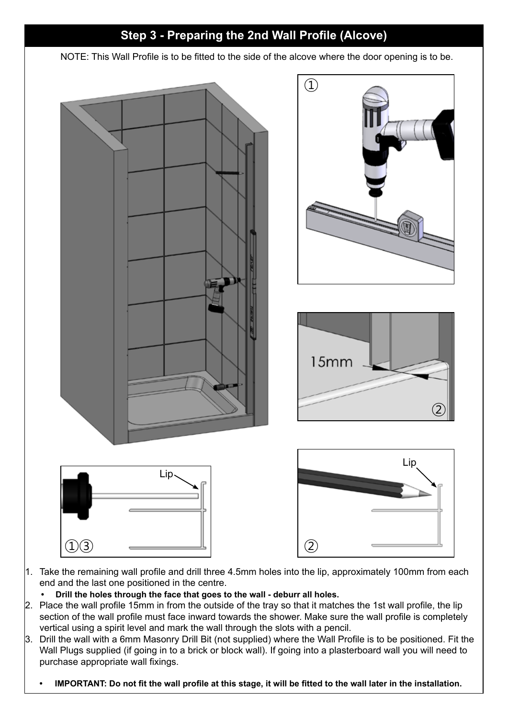# **Step 3 - Preparing the 2nd Wall Profile (Alcove)** NOTE: This Wall Profile is to be fitted to the side of the alcove where the door opening is to be.  $\mathcal{L}$  $15mm$ ② Lip Lip

- 1. Take the remaining wall profile and drill three 4.5mm holes into the lip, approximately 100mm from each end and the last one positioned in the centre.
- **• Drill the holes through the face that goes to the wall - deburr all holes.**

 $\bigcirc$ 

 $\overline{\text{3}}$   $\overline{\text{2}}$   $\overline{\text{2}}$ 

- 2. Place the wall profile 15mm in from the outside of the tray so that it matches the 1st wall profile, the lip section of the wall profile must face inward towards the shower. Make sure the wall profile is completely vertical using a spirit level and mark the wall through the slots with a pencil.
- 3. Drill the wall with a 6mm Masonry Drill Bit (not supplied) where the Wall Profile is to be positioned. Fit the Wall Plugs supplied (if going in to a brick or block wall). If going into a plasterboard wall you will need to purchase appropriate wall fixings.
	- IMPORTANT: Do not fit the wall profile at this stage, it will be fitted to the wall later in the installation.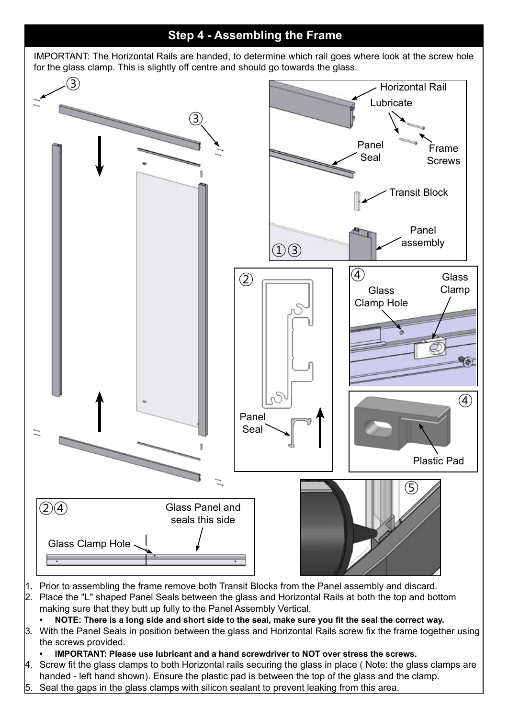### **Step 4 - Assembling the Frame**



- 3. With the Panel Seals in position between the glass and Horizontal Rails screw fix the frame together using the screws provided.
- **• IMPORTANT: Please use lubricant and a hand screwdriver to NOT over stress the screws.**
- 4. Screw fit the glass clamps to both Horizontal rails securing the glass in place (Note: the glass clamps are handed - left hand shown). Ensure the plastic pad is between the top of the glass and the clamp.
- 5. Seal the gaps in the glass clamps with silicon sealant to prevent leaking from this area.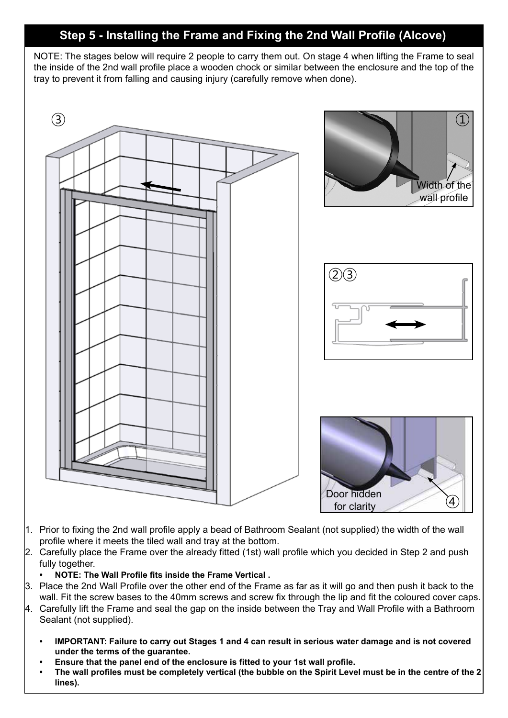### **Step 5 - Installing the Frame and Fixing the 2nd Wall Profile (Alcove)**

NOTE: The stages below will require 2 people to carry them out. On stage 4 when lifting the Frame to seal the inside of the 2nd wall profile place a wooden chock or similar between the enclosure and the top of the tray to prevent it from falling and causing injury (carefully remove when done).



- 1. Prior to fixing the 2nd wall profile apply a bead of Bathroom Sealant (not supplied) the width of the wall profile where it meets the tiled wall and tray at the bottom.
- 2. Carefully place the Frame over the already fitted (1st) wall profile which you decided in Step 2 and push fully together.
	- **• NOTE: The Wall Profile fits inside the Frame Vertical .**
- 3. Place the 2nd Wall Profile over the other end of the Frame as far as it will go and then push it back to the wall. Fit the screw bases to the 40mm screws and screw fix through the lip and fit the coloured cover caps.
- 4. Carefully lift the Frame and seal the gap on the inside between the Tray and Wall Profile with a Bathroom Sealant (not supplied).
	- IMPORTANT: Failure to carry out Stages 1 and 4 can result in serious water damage and is not covered **under the terms of the guarantee.**
	- **• Ensure that the panel end of the enclosure is fitted to your 1st wall profile.**
	- The wall profiles must be completely vertical (the bubble on the Spirit Level must be in the centre of the 2  **lines).**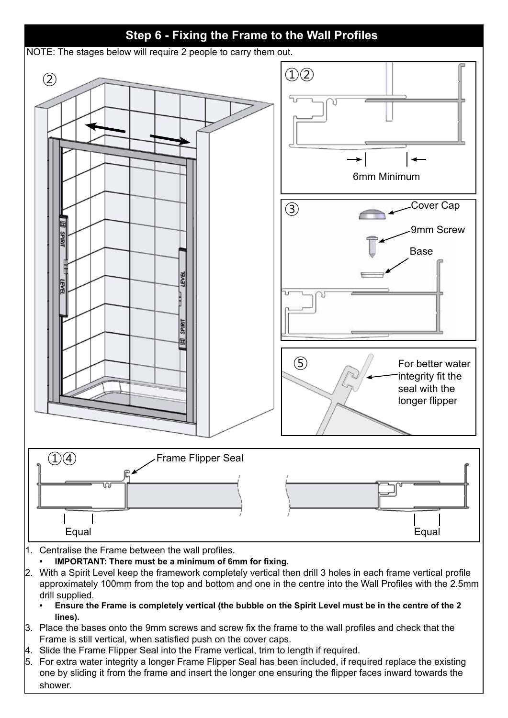

- **• IMPORTANT: There must be a minimum of 6mm for fixing.**
- 2. With a Spirit Level keep the framework completely vertical then drill 3 holes in each frame vertical profile approximately 100mm from the top and bottom and one in the centre into the Wall Profiles with the 2.5mm drill supplied.
	- Ensure the Frame is completely vertical (the bubble on the Spirit Level must be in the centre of the 2  **lines).**
- 3. Place the bases onto the 9mm screws and screw fix the frame to the wall profiles and check that the Frame is still vertical, when satisfied push on the cover caps.
- $\vert$ 4. Slide the Frame Flipper Seal into the Frame vertical, trim to length if required.
- 5. For extra water integrity a longer Frame Flipper Seal has been included, if required replace the existing one by sliding it from the frame and insert the longer one ensuring the flipper faces inward towards the shower.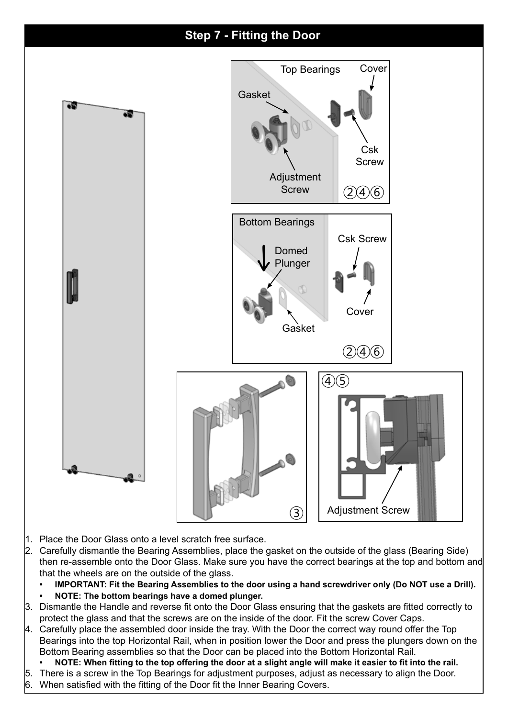

- 1. Place the Door Glass onto a level scratch free surface.
- 2. Carefully dismantle the Bearing Assemblies, place the gasket on the outside of the glass (Bearing Side) then re-assemble onto the Door Glass. Make sure you have the correct bearings at the top and bottom and that the wheels are on the outside of the glass.
	- IMPORTANT: Fit the Bearing Assemblies to the door using a hand screwdriver only (Do NOT use a Drill).
	- **• NOTE: The bottom bearings have a domed plunger.**
- 3. Dismantle the Handle and reverse fit onto the Door Glass ensuring that the gaskets are fitted correctly to protect the glass and that the screws are on the inside of the door. Fit the screw Cover Caps.
- 4. Carefully place the assembled door inside the tray. With the Door the correct way round offer the Top Bearings into the top Horizontal Rail, when in position lower the Door and press the plungers down on the Bottom Bearing assemblies so that the Door can be placed into the Bottom Horizontal Rail.
	- NOTE: When fitting to the top offering the door at a slight angle will make it easier to fit into the rail.
- 5. There is a screw in the Top Bearings for adjustment purposes, adjust as necessary to align the Door.
- 6. When satisfied with the fitting of the Door fit the Inner Bearing Covers.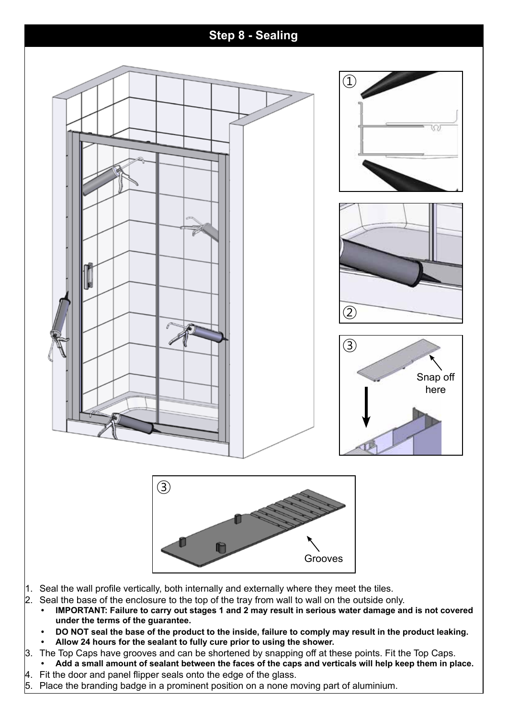

- IMPORTANT: Failure to carry out stages 1 and 2 may result in serious water damage and is not covered **under the terms of the guarantee.**
- DO NOT seal the base of the product to the inside, failure to comply may result in the product leaking.
- **• Allow 24 hours for the sealant to fully cure prior to using the shower.**
- $3.$  The Top Caps have grooves and can be shortened by snapping off at these points. Fit the Top Caps.
- Add a small amount of sealant between the faces of the caps and verticals will help keep them in place.  $4.$  Fit the door and panel flipper seals onto the edge of the glass.
- 5. Place the branding badge in a prominent position on a none moving part of aluminium.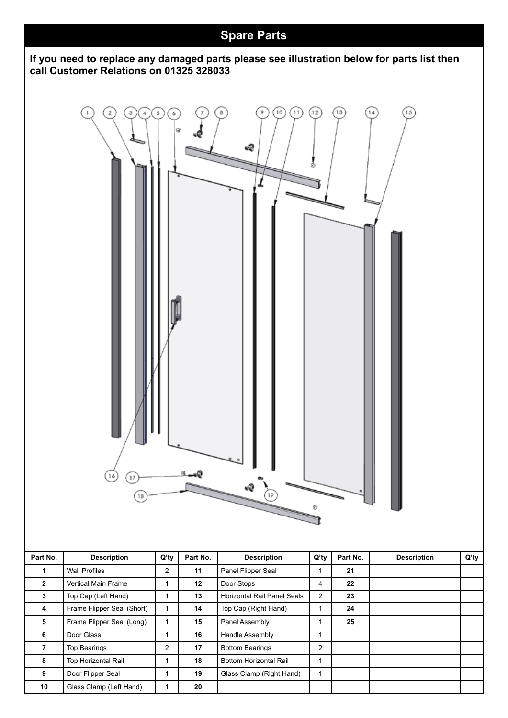

| 2  | Vertical Main Frame        |   | 12 | Door Stops                         | 4              | 22 |  |
|----|----------------------------|---|----|------------------------------------|----------------|----|--|
| 3  | Top Cap (Left Hand)        |   | 13 | <b>Horizontal Rail Panel Seals</b> | $\overline{2}$ | 23 |  |
| 4  | Frame Flipper Seal (Short) |   | 14 | Top Cap (Right Hand)               |                | 24 |  |
| 5  | Frame Flipper Seal (Long)  |   | 15 | Panel Assembly                     |                | 25 |  |
| 6  | Door Glass                 |   | 16 | Handle Assembly                    |                |    |  |
|    | <b>Top Bearings</b>        | 2 | 17 | <b>Bottom Bearings</b>             | $\overline{2}$ |    |  |
| 8  | <b>Top Horizontal Rail</b> |   | 18 | <b>Bottom Horizontal Rail</b>      |                |    |  |
| 9  | Door Flipper Seal          |   | 19 | Glass Clamp (Right Hand)           |                |    |  |
| 10 | Glass Clamp (Left Hand)    |   | 20 |                                    |                |    |  |

### **Spare Parts**